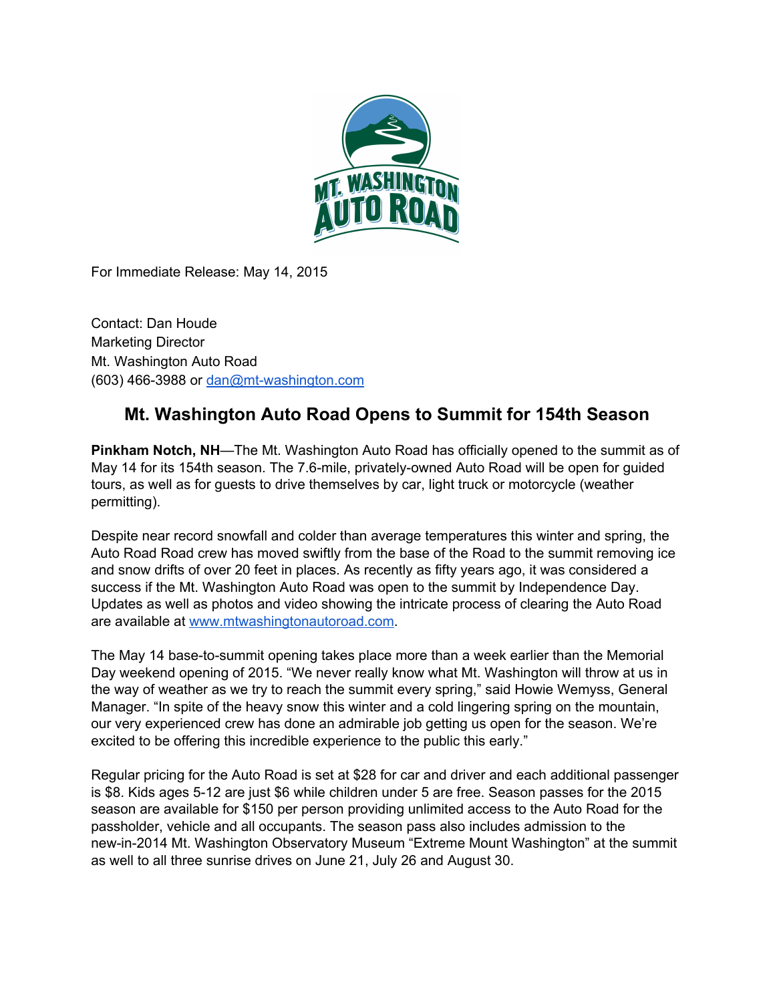

For Immediate Release: May 14, 2015

Contact: Dan Houde Marketing Director Mt. Washington Auto Road (603) 466-3988 or dan@mt-washington.com

## **Mt. Washington Auto Road Opens to Summit for 154th Season**

**Pinkham Notch, NH**—The Mt. Washington Auto Road has officially opened to the summit as of May 14 for its 154th season. The 7.6-mile, privately-owned Auto Road will be open for guided tours, as well as for guests to drive themselves by car, light truck or motorcycle (weather permitting).

Despite near record snowfall and colder than average temperatures this winter and spring, the Auto Road Road crew has moved swiftly from the base of the Road to the summit removing ice and snow drifts of over 20 feet in places. As recently as fifty years ago, it was considered a success if the Mt. Washington Auto Road was open to the summit by Independence Day. Updates as well as photos and video showing the intricate process of clearing the Auto Road are available at [www.mtwashingtonautoroad.com.](http://www.mtwashingtonautoroad.com/)

The May 14 base-to-summit opening takes place more than a week earlier than the Memorial Day weekend opening of 2015. "We never really know what Mt. Washington will throw at us in the way of weather as we try to reach the summit every spring," said Howie Wemyss, General Manager. "In spite of the heavy snow this winter and a cold lingering spring on the mountain, our very experienced crew has done an admirable job getting us open for the season. We're excited to be offering this incredible experience to the public this early."

Regular pricing for the Auto Road is set at \$28 for car and driver and each additional passenger is \$8. Kids ages 5-12 are just \$6 while children under 5 are free. Season passes for the 2015 season are available for \$150 per person providing unlimited access to the Auto Road for the passholder, vehicle and all occupants. The season pass also includes admission to the new-in-2014 Mt. Washington Observatory Museum "Extreme Mount Washington" at the summit as well to all three sunrise drives on June 21, July 26 and August 30.